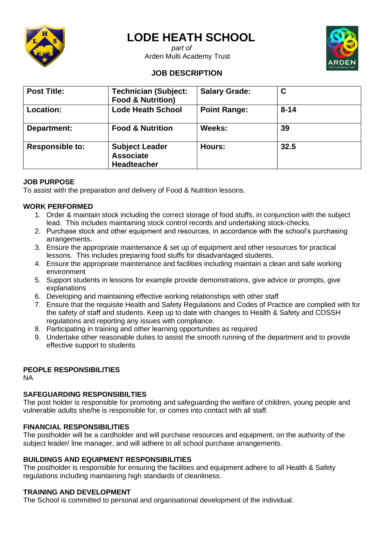

# **LODE HEATH SCHOOL**

 *part of* Arden Multi Academy Trust



# **JOB DESCRIPTION**

| <b>Post Title:</b>     | <b>Technician (Subject:</b><br><b>Food &amp; Nutrition)</b>     | <b>Salary Grade:</b> | C        |  |
|------------------------|-----------------------------------------------------------------|----------------------|----------|--|
| Location:              | <b>Lode Heath School</b>                                        | <b>Point Range:</b>  | $8 - 14$ |  |
| Department:            | <b>Food &amp; Nutrition</b>                                     | Weeks:               | 39       |  |
| <b>Responsible to:</b> | <b>Subject Leader</b><br><b>Associate</b><br><b>Headteacher</b> | Hours:               | 32.5     |  |

### **JOB PURPOSE**

To assist with the preparation and delivery of Food & Nutrition lessons.

## **WORK PERFORMED**

- 1. Order & maintain stock including the correct storage of food stuffs, in conjunction with the subject lead. This includes maintaining stock control records and undertaking stock-checks.
- 2. Purchase stock and other equipment and resources, in accordance with the school's purchasing arrangements.
- 3. Ensure the appropriate maintenance & set up of equipment and other resources for practical lessons. This includes preparing food stuffs for disadvantaged students.
- 4. Ensure the appropriate maintenance and facilities including maintain a clean and safe working environment
- 5. Support students in lessons for example provide demonstrations, give advice or prompts, give explanations
- 6. Developing and maintaining effective working relationships with other staff
- 7. Ensure that the requisite Health and Safety Regulations and Codes of Practice are complied with for the safety of staff and students. Keep up to date with changes to Health & Safety and COSSH regulations and reporting any issues with compliance.
- 8. Participating in training and other learning opportunities as required
- 9. Undertake other reasonable duties to assist the smooth running of the department and to provide effective support to students

### **PEOPLE RESPONSIBILITIES**

NA

### **SAFEGUARDING RESPONSIBILTIES**

The post holder is responsible for promoting and safeguarding the welfare of children, young people and vulnerable adults she/he is responsible for, or comes into contact with all staff.

### **FINANCIAL RESPONSIBILITIES**

The postholder will be a cardholder and will purchase resources and equipment, on the authority of the subject leader/ line manager, and will adhere to all school purchase arrangements.

### **BUILDINGS AND EQUIPMENT RESPONSIBILITIES**

The postholder is responsible for ensuring the facilities and equipment adhere to all Health & Safety regulations including maintaining high standards of cleanliness.

### **TRAINING AND DEVELOPMENT**

The School is committed to personal and organisational development of the individual.